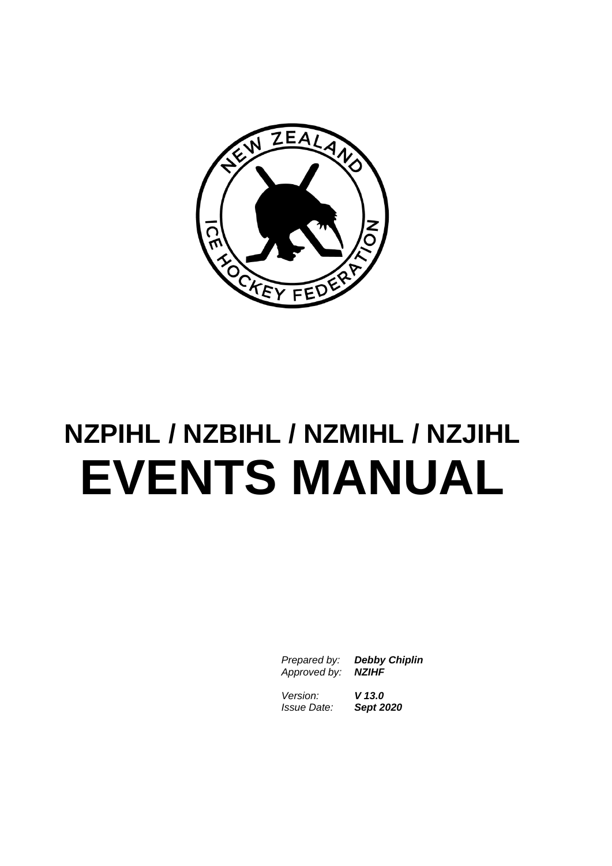

# **NZPIHL / NZBIHL / NZMIHL / NZJIHL EVENTS MANUAL**

*Prepared by: Debby Chiplin Approved by: NZIHF*

*Version: V 13.0 Issue Date: Sept 2020*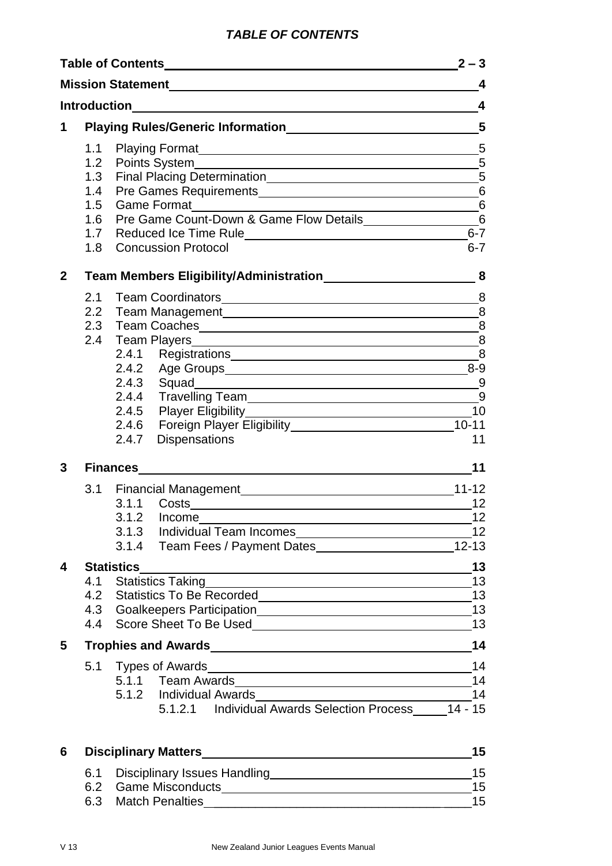## *TABLE OF CONTENTS*

|              |                          |                                                                                                                                                                                                                                                     | $2 - 3$                                             |
|--------------|--------------------------|-----------------------------------------------------------------------------------------------------------------------------------------------------------------------------------------------------------------------------------------------------|-----------------------------------------------------|
|              |                          |                                                                                                                                                                                                                                                     | $\overline{4}$                                      |
|              |                          |                                                                                                                                                                                                                                                     | $\overline{\mathbf{4}}$                             |
| 1            |                          |                                                                                                                                                                                                                                                     |                                                     |
|              | 1.3<br>1.4<br>1.5<br>1.6 | $\overline{\phantom{a}}$ 6<br>Game Format___________<br>Pre Game Count-Down & Game Flow Details___________________________6                                                                                                                         | 5                                                   |
|              | 1.7<br>1.8               | Reduced Ice Time Rule <b>Example 2018</b> Reduced Ice Time Rule<br><b>Concussion Protocol</b>                                                                                                                                                       | $6 - 7$<br>$6 - 7$                                  |
| $\mathbf{2}$ |                          |                                                                                                                                                                                                                                                     | $\boldsymbol{8}$                                    |
| 3            |                          | 2.4.3 Squad 9<br>2.4.4 Travelling Team<br>19<br>2.4.6 Foreign Player Eligibility 10-11<br>2.4.7 Dispensations<br>Finances <u>__________________________________</u>                                                                                 | 8<br>8<br>8<br>$^{\circ}$ 8<br>10<br>11<br>11<br>12 |
|              |                          | 3.1.2 Income                                                                                                                                                                                                                                        | 12                                                  |
| 4            |                          | <b>Statistics</b><br><u> 1989 - Johann Stein, mars an de Brazilian (b. 1989)</u><br>4.1 Statistics Taking<br>4.1 Statistics Taking<br>4.2 Statistics To Be Recorded<br>1.2 Statistics To Be Recorded                                                | 13<br>13<br>13                                      |
| $5 -$        |                          | Trophies and Awards<br>Management Awards<br>Management Awards<br>Management Awards<br>Management Awards<br>Management Awards<br>Management Awards<br>Management Awards<br>Management Awards<br>Management Awards<br>Management Awards<br>Management | 14                                                  |
|              |                          | 5.1 Types of Awards<br>5.1.2 Individual Awards<br>Managem Alexander Managem Managem Managem Managem Managem Managem Managem Managem Managem Managem Managem Man<br>5.1.2.1 Individual Awards Selection Process _____ 14 - 15                        | 14<br>14<br>14                                      |
| 6            |                          |                                                                                                                                                                                                                                                     | 15                                                  |
|              |                          |                                                                                                                                                                                                                                                     |                                                     |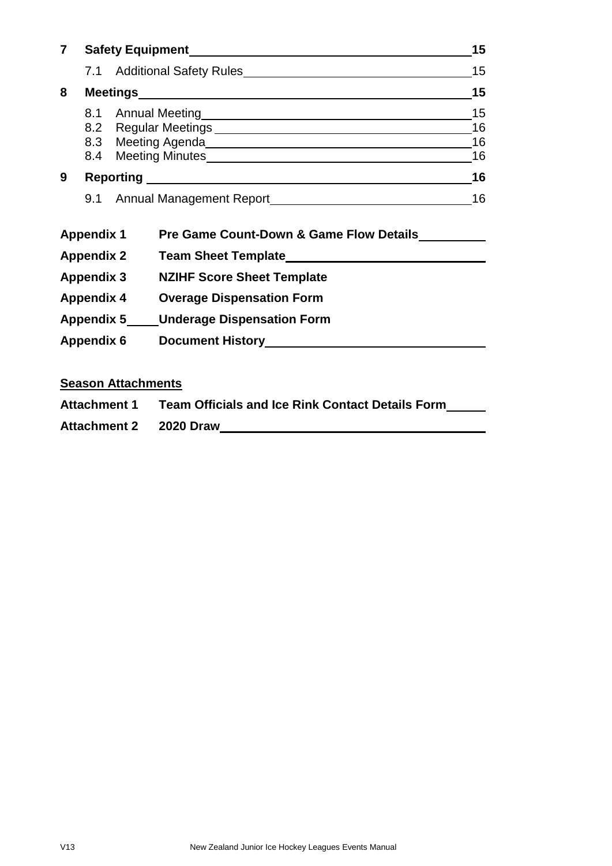| $\overline{7}$ |                   |                                                                                                                                                                                                                                               |                                         |    |  |  |  |  |
|----------------|-------------------|-----------------------------------------------------------------------------------------------------------------------------------------------------------------------------------------------------------------------------------------------|-----------------------------------------|----|--|--|--|--|
|                |                   |                                                                                                                                                                                                                                               |                                         |    |  |  |  |  |
| 8              |                   |                                                                                                                                                                                                                                               |                                         | 15 |  |  |  |  |
|                |                   | 16<br>8.3 Meeting Agenda<br><u>Agenda</u><br>Manuscription and the manuscription of the manuscription of the manuscription of the manuscription of the manuscription of the manuscription of the manuscription of the manuscription of the ma |                                         |    |  |  |  |  |
| 9              |                   |                                                                                                                                                                                                                                               |                                         |    |  |  |  |  |
|                |                   |                                                                                                                                                                                                                                               |                                         | 16 |  |  |  |  |
|                | <b>Appendix 1</b> |                                                                                                                                                                                                                                               | Pre Game Count-Down & Game Flow Details |    |  |  |  |  |
|                |                   | <b>Appendix 2</b>                                                                                                                                                                                                                             |                                         |    |  |  |  |  |
|                |                   | Appendix 3                                                                                                                                                                                                                                    | <b>NZIHF Score Sheet Template</b>       |    |  |  |  |  |
|                |                   | <b>Appendix 4</b>                                                                                                                                                                                                                             | <b>Overage Dispensation Form</b>        |    |  |  |  |  |
|                |                   | <b>Appendix 5</b>                                                                                                                                                                                                                             | <b>Underage Dispensation Form</b>       |    |  |  |  |  |

**Season Attachments**

| <b>Attachment 1</b> | <b>Team Officials and Ice Rink Contact Details Form</b> |
|---------------------|---------------------------------------------------------|
| <b>Attachment 2</b> | <b>2020 Draw</b>                                        |

**Appendix 6 Document History**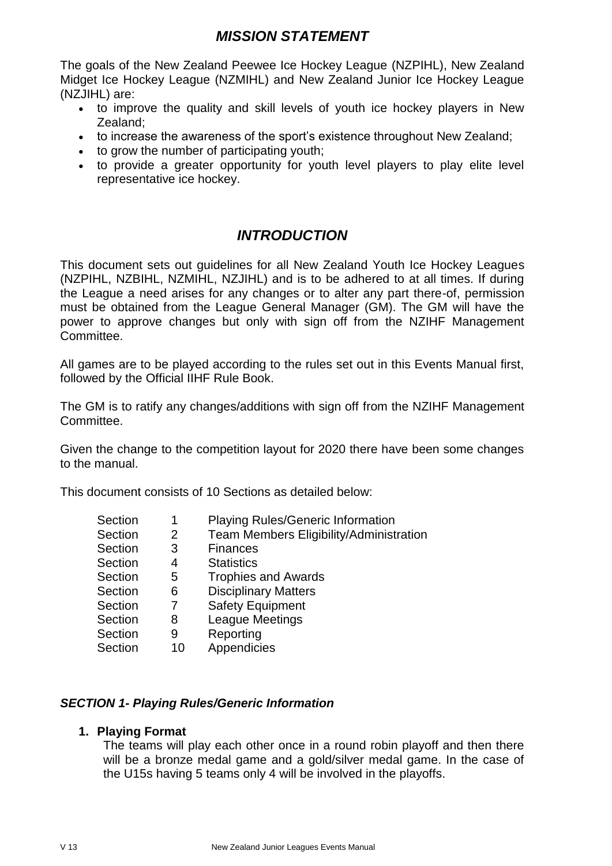## *MISSION STATEMENT*

The goals of the New Zealand Peewee Ice Hockey League (NZPIHL), New Zealand Midget Ice Hockey League (NZMIHL) and New Zealand Junior Ice Hockey League (NZJIHL) are:

- to improve the quality and skill levels of youth ice hockey players in New Zealand;
- to increase the awareness of the sport's existence throughout New Zealand;
- to grow the number of participating youth;
- to provide a greater opportunity for youth level players to play elite level representative ice hockey.

## *INTRODUCTION*

This document sets out guidelines for all New Zealand Youth Ice Hockey Leagues (NZPIHL, NZBIHL, NZMIHL, NZJIHL) and is to be adhered to at all times. If during the League a need arises for any changes or to alter any part there-of, permission must be obtained from the League General Manager (GM). The GM will have the power to approve changes but only with sign off from the NZIHF Management Committee.

All games are to be played according to the rules set out in this Events Manual first, followed by the Official IIHF Rule Book.

The GM is to ratify any changes/additions with sign off from the NZIHF Management Committee.

Given the change to the competition layout for 2020 there have been some changes to the manual.

This document consists of 10 Sections as detailed below:

| Section | 1  | <b>Playing Rules/Generic Information</b>       |
|---------|----|------------------------------------------------|
| Section | 2  | <b>Team Members Eligibility/Administration</b> |
| Section | 3  | <b>Finances</b>                                |
| Section | 4  | <b>Statistics</b>                              |
| Section | 5  | <b>Trophies and Awards</b>                     |
| Section | 6  | <b>Disciplinary Matters</b>                    |
| Section |    | <b>Safety Equipment</b>                        |
| Section | 8  | League Meetings                                |
| Section | 9  | Reporting                                      |
| Section | 10 | Appendicies                                    |
|         |    |                                                |

#### *SECTION 1- Playing Rules/Generic Information*

#### **1. Playing Format**

The teams will play each other once in a round robin playoff and then there will be a bronze medal game and a gold/silver medal game. In the case of the U15s having 5 teams only 4 will be involved in the playoffs.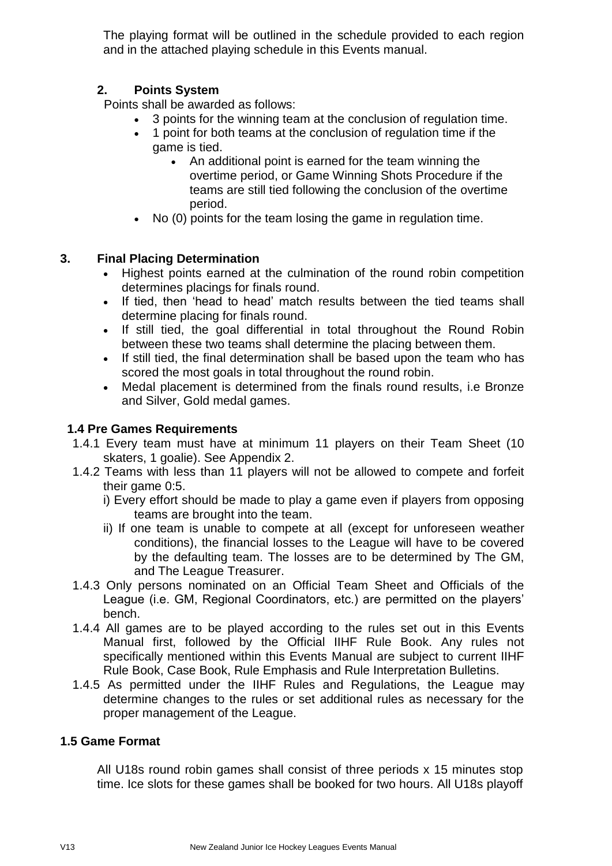The playing format will be outlined in the schedule provided to each region and in the attached playing schedule in this Events manual.

## **2. Points System**

Points shall be awarded as follows:

- 3 points for the winning team at the conclusion of regulation time.
- 1 point for both teams at the conclusion of regulation time if the game is tied.
	- An additional point is earned for the team winning the overtime period, or Game Winning Shots Procedure if the teams are still tied following the conclusion of the overtime period.
- No (0) points for the team losing the game in regulation time.

## **3. Final Placing Determination**

- Highest points earned at the culmination of the round robin competition determines placings for finals round.
- If tied, then 'head to head' match results between the tied teams shall determine placing for finals round.
- If still tied, the goal differential in total throughout the Round Robin between these two teams shall determine the placing between them.
- If still tied, the final determination shall be based upon the team who has scored the most goals in total throughout the round robin.
- Medal placement is determined from the finals round results, i.e Bronze and Silver, Gold medal games.

## **1.4 Pre Games Requirements**

- 1.4.1 Every team must have at minimum 11 players on their Team Sheet (10 skaters, 1 goalie). See Appendix 2.
- 1.4.2 Teams with less than 11 players will not be allowed to compete and forfeit their game 0:5.
	- i) Every effort should be made to play a game even if players from opposing teams are brought into the team.
	- ii) If one team is unable to compete at all (except for unforeseen weather conditions), the financial losses to the League will have to be covered by the defaulting team. The losses are to be determined by The GM, and The League Treasurer.
- 1.4.3 Only persons nominated on an Official Team Sheet and Officials of the League (i.e. GM, Regional Coordinators, etc.) are permitted on the players' bench.
- 1.4.4 All games are to be played according to the rules set out in this Events Manual first, followed by the Official IIHF Rule Book. Any rules not specifically mentioned within this Events Manual are subject to current IIHF Rule Book, Case Book, Rule Emphasis and Rule Interpretation Bulletins.
- 1.4.5 As permitted under the IIHF Rules and Regulations, the League may determine changes to the rules or set additional rules as necessary for the proper management of the League.

#### **1.5 Game Format**

All U18s round robin games shall consist of three periods x 15 minutes stop time. Ice slots for these games shall be booked for two hours. All U18s playoff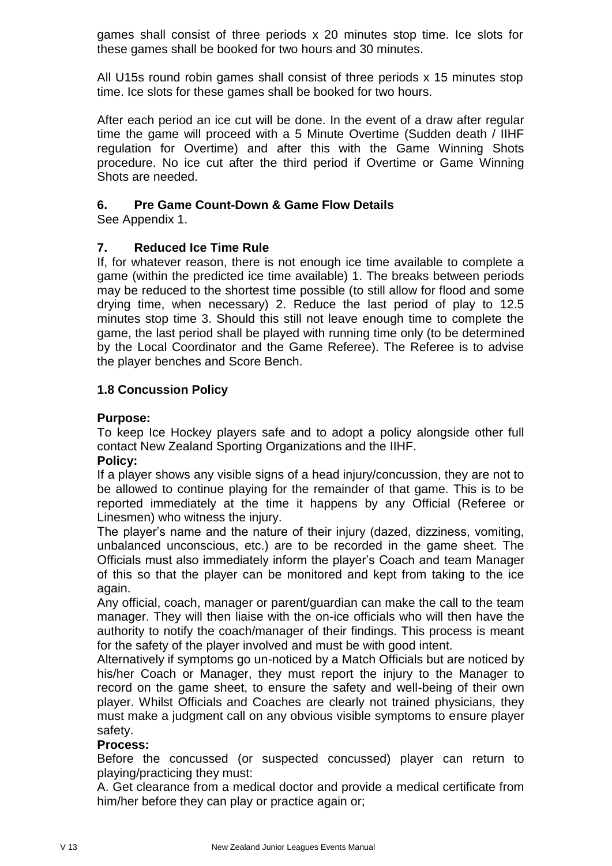games shall consist of three periods x 20 minutes stop time. Ice slots for these games shall be booked for two hours and 30 minutes.

All U15s round robin games shall consist of three periods x 15 minutes stop time. Ice slots for these games shall be booked for two hours.

After each period an ice cut will be done. In the event of a draw after regular time the game will proceed with a 5 Minute Overtime (Sudden death / IIHF regulation for Overtime) and after this with the Game Winning Shots procedure. No ice cut after the third period if Overtime or Game Winning Shots are needed.

## **6. Pre Game Count-Down & Game Flow Details**

See Appendix 1.

## **7. Reduced Ice Time Rule**

If, for whatever reason, there is not enough ice time available to complete a game (within the predicted ice time available) 1. The breaks between periods may be reduced to the shortest time possible (to still allow for flood and some drying time, when necessary) 2. Reduce the last period of play to 12.5 minutes stop time 3. Should this still not leave enough time to complete the game, the last period shall be played with running time only (to be determined by the Local Coordinator and the Game Referee). The Referee is to advise the player benches and Score Bench.

## **1.8 Concussion Policy**

## **Purpose:**

To keep Ice Hockey players safe and to adopt a policy alongside other full contact New Zealand Sporting Organizations and the IIHF.

#### **Policy:**

If a player shows any visible signs of a head injury/concussion, they are not to be allowed to continue playing for the remainder of that game. This is to be reported immediately at the time it happens by any Official (Referee or Linesmen) who witness the injury.

The player's name and the nature of their injury (dazed, dizziness, vomiting, unbalanced unconscious, etc.) are to be recorded in the game sheet. The Officials must also immediately inform the player's Coach and team Manager of this so that the player can be monitored and kept from taking to the ice again.

Any official, coach, manager or parent/guardian can make the call to the team manager. They will then liaise with the on-ice officials who will then have the authority to notify the coach/manager of their findings. This process is meant for the safety of the player involved and must be with good intent.

Alternatively if symptoms go un-noticed by a Match Officials but are noticed by his/her Coach or Manager, they must report the injury to the Manager to record on the game sheet, to ensure the safety and well-being of their own player. Whilst Officials and Coaches are clearly not trained physicians, they must make a judgment call on any obvious visible symptoms to ensure player safety.

## **Process:**

Before the concussed (or suspected concussed) player can return to playing/practicing they must:

A. Get clearance from a medical doctor and provide a medical certificate from him/her before they can play or practice again or;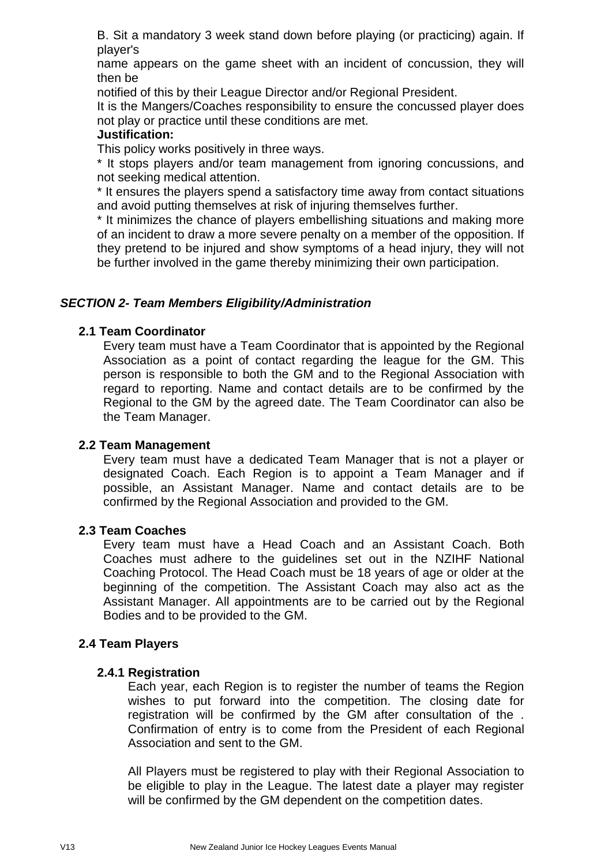B. Sit a mandatory 3 week stand down before playing (or practicing) again. If player's

name appears on the game sheet with an incident of concussion, they will then be

notified of this by their League Director and/or Regional President.

It is the Mangers/Coaches responsibility to ensure the concussed player does not play or practice until these conditions are met.

#### **Justification:**

This policy works positively in three ways.

\* It stops players and/or team management from ignoring concussions, and not seeking medical attention.

\* It ensures the players spend a satisfactory time away from contact situations and avoid putting themselves at risk of injuring themselves further.

\* It minimizes the chance of players embellishing situations and making more of an incident to draw a more severe penalty on a member of the opposition. If they pretend to be injured and show symptoms of a head injury, they will not be further involved in the game thereby minimizing their own participation.

#### *SECTION 2- Team Members Eligibility/Administration*

#### **2.1 Team Coordinator**

Every team must have a Team Coordinator that is appointed by the Regional Association as a point of contact regarding the league for the GM. This person is responsible to both the GM and to the Regional Association with regard to reporting. Name and contact details are to be confirmed by the Regional to the GM by the agreed date. The Team Coordinator can also be the Team Manager.

#### **2.2 Team Management**

Every team must have a dedicated Team Manager that is not a player or designated Coach. Each Region is to appoint a Team Manager and if possible, an Assistant Manager. Name and contact details are to be confirmed by the Regional Association and provided to the GM.

#### **2.3 Team Coaches**

Every team must have a Head Coach and an Assistant Coach. Both Coaches must adhere to the guidelines set out in the NZIHF National Coaching Protocol. The Head Coach must be 18 years of age or older at the beginning of the competition. The Assistant Coach may also act as the Assistant Manager. All appointments are to be carried out by the Regional Bodies and to be provided to the GM.

#### **2.4 Team Players**

#### **2.4.1 Registration**

Each year, each Region is to register the number of teams the Region wishes to put forward into the competition. The closing date for registration will be confirmed by the GM after consultation of the . Confirmation of entry is to come from the President of each Regional Association and sent to the GM.

All Players must be registered to play with their Regional Association to be eligible to play in the League. The latest date a player may register will be confirmed by the GM dependent on the competition dates.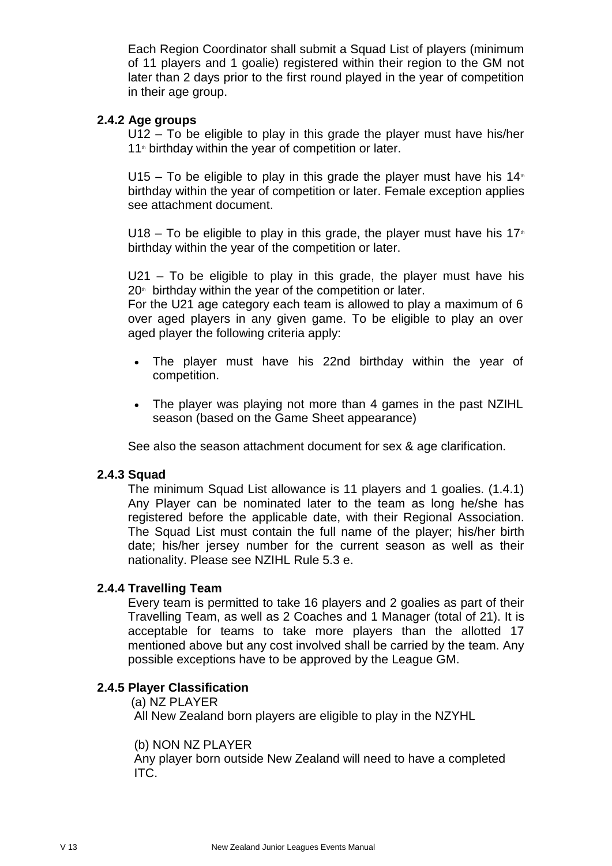Each Region Coordinator shall submit a Squad List of players (minimum of 11 players and 1 goalie) registered within their region to the GM not later than 2 days prior to the first round played in the year of competition in their age group.

#### **2.4.2 Age groups**

U12 – To be eligible to play in this grade the player must have his/her 11<sup>th</sup> birthday within the year of competition or later.

U15 – To be eligible to play in this grade the player must have his  $14<sup>*</sup>$ birthday within the year of competition or later. Female exception applies see attachment document.

U18 – To be eligible to play in this grade, the player must have his  $17<sup>*</sup>$ birthday within the year of the competition or later.

U21 – To be eligible to play in this grade, the player must have his  $20<sup>th</sup>$  birthday within the year of the competition or later.

For the U21 age category each team is allowed to play a maximum of 6 over aged players in any given game. To be eligible to play an over aged player the following criteria apply:

- The player must have his 22nd birthday within the year of competition.
- The player was playing not more than 4 games in the past NZIHL season (based on the Game Sheet appearance)

See also the season attachment document for sex & age clarification.

#### **2.4.3 Squad**

The minimum Squad List allowance is 11 players and 1 goalies. (1.4.1) Any Player can be nominated later to the team as long he/she has registered before the applicable date, with their Regional Association. The Squad List must contain the full name of the player; his/her birth date; his/her jersey number for the current season as well as their nationality. Please see NZIHL Rule 5.3 e.

#### **2.4.4 Travelling Team**

Every team is permitted to take 16 players and 2 goalies as part of their Travelling Team, as well as 2 Coaches and 1 Manager (total of 21). It is acceptable for teams to take more players than the allotted 17 mentioned above but any cost involved shall be carried by the team. Any possible exceptions have to be approved by the League GM.

#### **2.4.5 Player Classification**

(a) NZ PLAYER

All New Zealand born players are eligible to play in the NZYHL

#### (b) NON NZ PLAYER

Any player born outside New Zealand will need to have a completed ITC.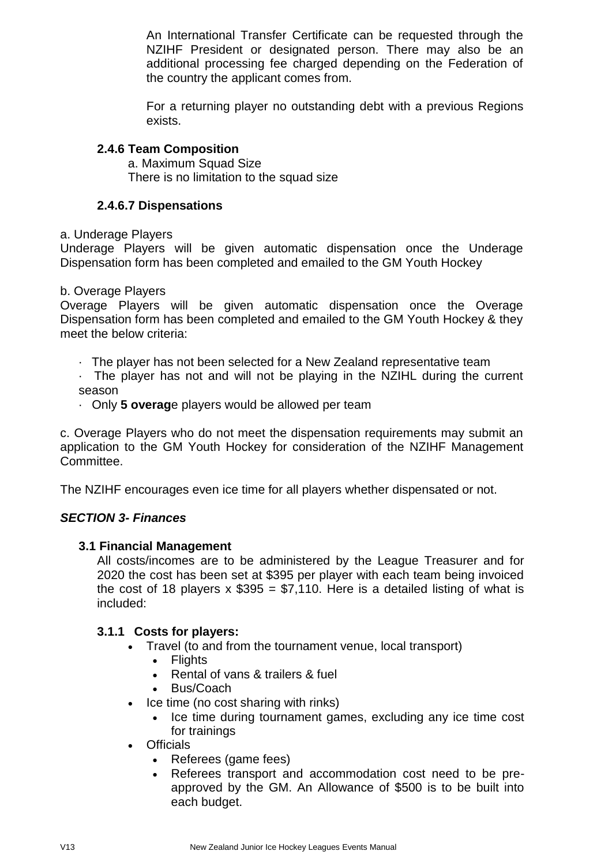An International Transfer Certificate can be requested through the NZIHF President or designated person. There may also be an additional processing fee charged depending on the Federation of the country the applicant comes from.

For a returning player no outstanding debt with a previous Regions exists.

## **2.4.6 Team Composition**

a. Maximum Squad Size There is no limitation to the squad size

## **2.4.6.7 Dispensations**

a. Underage Players

Underage Players will be given automatic dispensation once the Underage Dispensation form has been completed and emailed to the GM Youth Hockey

#### b. Overage Players

Overage Players will be given automatic dispensation once the Overage Dispensation form has been completed and emailed to the GM Youth Hockey & they meet the below criteria:

- · The player has not been selected for a New Zealand representative team
- · The player has not and will not be playing in the NZIHL during the current season
- · Only **5 overag**e players would be allowed per team

c. Overage Players who do not meet the dispensation requirements may submit an application to the GM Youth Hockey for consideration of the NZIHF Management Committee.

The NZIHF encourages even ice time for all players whether dispensated or not.

#### *SECTION 3- Finances*

#### **3.1 Financial Management**

All costs/incomes are to be administered by the League Treasurer and for 2020 the cost has been set at \$395 per player with each team being invoiced the cost of 18 players  $x$  \$395 = \$7,110. Here is a detailed listing of what is included:

#### **3.1.1 Costs for players:**

- Travel (to and from the tournament venue, local transport)
	- Flights
		- Rental of vans & trailers & fuel
	- Bus/Coach
- Ice time (no cost sharing with rinks)
	- Ice time during tournament games, excluding any ice time cost for trainings
- Officials
	- Referees (game fees)
	- Referees transport and accommodation cost need to be preapproved by the GM. An Allowance of \$500 is to be built into each budget.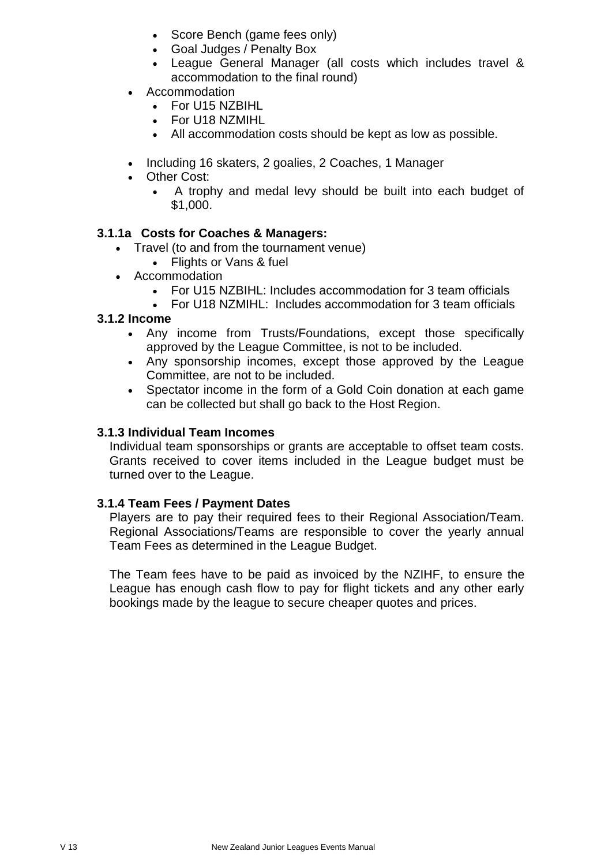- Score Bench (game fees only)
- Goal Judges / Penalty Box
- League General Manager (all costs which includes travel & accommodation to the final round)
- Accommodation
	- For U15 NZBIHL
	- For U18 NZMIHL
	- All accommodation costs should be kept as low as possible.
- Including 16 skaters, 2 goalies, 2 Coaches, 1 Manager
- Other Cost:
	- A trophy and medal levy should be built into each budget of \$1,000.

## **3.1.1a Costs for Coaches & Managers:**

- Travel (to and from the tournament venue)
	- Flights or Vans & fuel
- Accommodation
	- For U15 NZBIHL: Includes accommodation for 3 team officials
	- For U18 NZMIHL: Includes accommodation for 3 team officials

#### **3.1.2 Income**

- Any income from Trusts/Foundations, except those specifically approved by the League Committee, is not to be included.
- Any sponsorship incomes, except those approved by the League Committee, are not to be included.
- Spectator income in the form of a Gold Coin donation at each game can be collected but shall go back to the Host Region.

#### **3.1.3 Individual Team Incomes**

Individual team sponsorships or grants are acceptable to offset team costs. Grants received to cover items included in the League budget must be turned over to the League.

#### **3.1.4 Team Fees / Payment Dates**

Players are to pay their required fees to their Regional Association/Team. Regional Associations/Teams are responsible to cover the yearly annual Team Fees as determined in the League Budget.

The Team fees have to be paid as invoiced by the NZIHF, to ensure the League has enough cash flow to pay for flight tickets and any other early bookings made by the league to secure cheaper quotes and prices.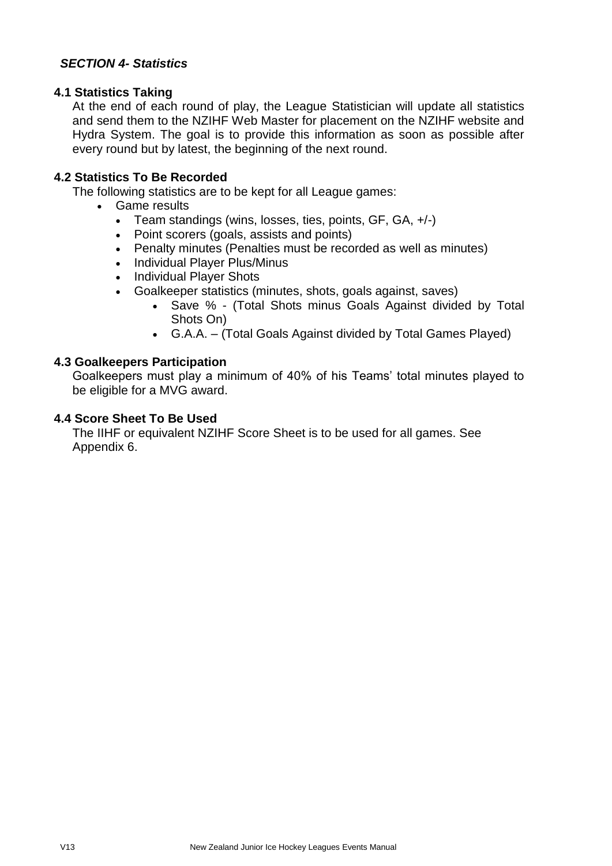#### *SECTION 4- Statistics*

#### **4.1 Statistics Taking**

At the end of each round of play, the League Statistician will update all statistics and send them to the NZIHF Web Master for placement on the NZIHF website and Hydra System. The goal is to provide this information as soon as possible after every round but by latest, the beginning of the next round.

#### **4.2 Statistics To Be Recorded**

The following statistics are to be kept for all League games:

- Game results
	- Team standings (wins, losses, ties, points, GF, GA, +/-)
	- Point scorers (goals, assists and points)
	- Penalty minutes (Penalties must be recorded as well as minutes)
	- Individual Player Plus/Minus
	- Individual Player Shots
	- Goalkeeper statistics (minutes, shots, goals against, saves)
		- Save % (Total Shots minus Goals Against divided by Total Shots On)
		- G.A.A. (Total Goals Against divided by Total Games Played)

#### **4.3 Goalkeepers Participation**

Goalkeepers must play a minimum of 40% of his Teams' total minutes played to be eligible for a MVG award.

#### **4.4 Score Sheet To Be Used**

The IIHF or equivalent NZIHF Score Sheet is to be used for all games. See Appendix 6.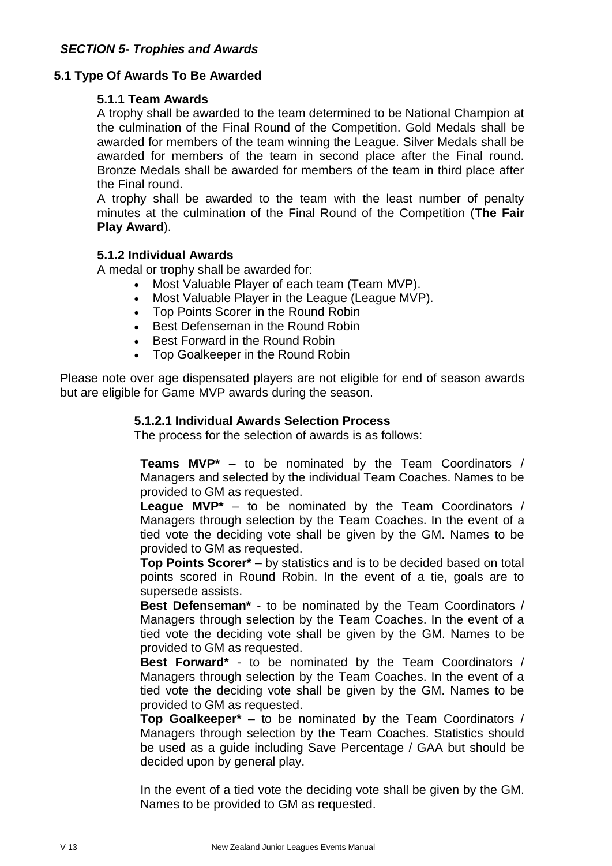#### **5.1 Type Of Awards To Be Awarded**

#### **5.1.1 Team Awards**

A trophy shall be awarded to the team determined to be National Champion at the culmination of the Final Round of the Competition. Gold Medals shall be awarded for members of the team winning the League. Silver Medals shall be awarded for members of the team in second place after the Final round. Bronze Medals shall be awarded for members of the team in third place after the Final round.

A trophy shall be awarded to the team with the least number of penalty minutes at the culmination of the Final Round of the Competition (**The Fair Play Award**).

#### **5.1.2 Individual Awards**

A medal or trophy shall be awarded for:

- Most Valuable Player of each team (Team MVP).
- Most Valuable Player in the League (League MVP).
- Top Points Scorer in the Round Robin
- Best Defenseman in the Round Robin
- Best Forward in the Round Robin
- Top Goalkeeper in the Round Robin

Please note over age dispensated players are not eligible for end of season awards but are eligible for Game MVP awards during the season.

#### **5.1.2.1 Individual Awards Selection Process**

The process for the selection of awards is as follows:

**Teams MVP\*** – to be nominated by the Team Coordinators / Managers and selected by the individual Team Coaches. Names to be provided to GM as requested.

**League MVP\*** – to be nominated by the Team Coordinators / Managers through selection by the Team Coaches. In the event of a tied vote the deciding vote shall be given by the GM. Names to be provided to GM as requested.

**Top Points Scorer\*** – by statistics and is to be decided based on total points scored in Round Robin. In the event of a tie, goals are to supersede assists.

**Best Defenseman\*** - to be nominated by the Team Coordinators / Managers through selection by the Team Coaches. In the event of a tied vote the deciding vote shall be given by the GM. Names to be provided to GM as requested.

**Best Forward\*** - to be nominated by the Team Coordinators / Managers through selection by the Team Coaches. In the event of a tied vote the deciding vote shall be given by the GM. Names to be provided to GM as requested.

**Top Goalkeeper\*** – to be nominated by the Team Coordinators / Managers through selection by the Team Coaches. Statistics should be used as a guide including Save Percentage / GAA but should be decided upon by general play.

In the event of a tied vote the deciding vote shall be given by the GM. Names to be provided to GM as requested.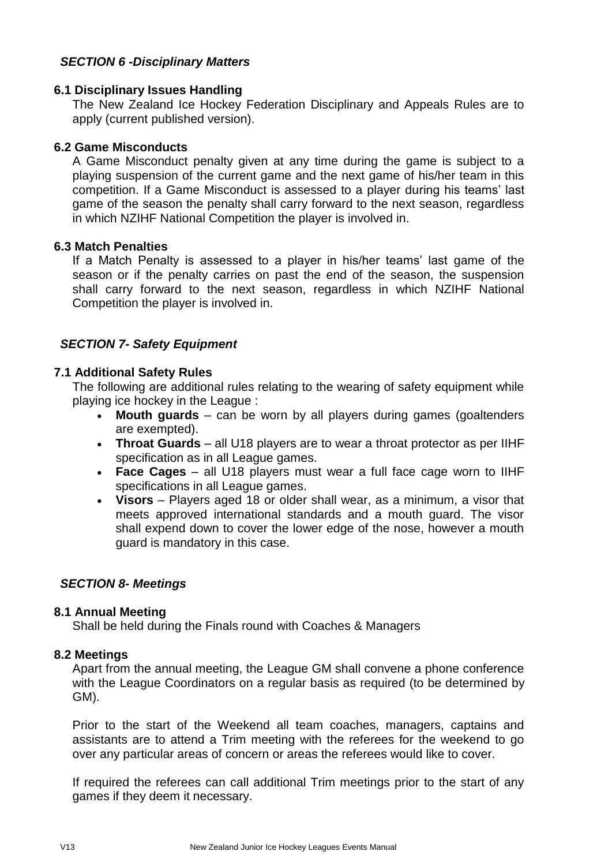#### *SECTION 6 -Disciplinary Matters*

#### **6.1 Disciplinary Issues Handling**

The New Zealand Ice Hockey Federation Disciplinary and Appeals Rules are to apply (current published version).

#### **6.2 Game Misconducts**

A Game Misconduct penalty given at any time during the game is subject to a playing suspension of the current game and the next game of his/her team in this competition. If a Game Misconduct is assessed to a player during his teams' last game of the season the penalty shall carry forward to the next season, regardless in which NZIHF National Competition the player is involved in.

#### **6.3 Match Penalties**

If a Match Penalty is assessed to a player in his/her teams' last game of the season or if the penalty carries on past the end of the season, the suspension shall carry forward to the next season, regardless in which NZIHF National Competition the player is involved in.

#### *SECTION 7- Safety Equipment*

#### **7.1 Additional Safety Rules**

The following are additional rules relating to the wearing of safety equipment while playing ice hockey in the League :

- **Mouth guards** can be worn by all players during games (goaltenders are exempted).
- **Throat Guards**  all U18 players are to wear a throat protector as per IIHF specification as in all League games.
- **Face Cages**  all U18 players must wear a full face cage worn to IIHF specifications in all League games.
- **Visors** Players aged 18 or older shall wear, as a minimum, a visor that meets approved international standards and a mouth guard. The visor shall expend down to cover the lower edge of the nose, however a mouth guard is mandatory in this case.

#### *SECTION 8- Meetings*

#### **8.1 Annual Meeting**

Shall be held during the Finals round with Coaches & Managers

#### **8.2 Meetings**

Apart from the annual meeting, the League GM shall convene a phone conference with the League Coordinators on a regular basis as required (to be determined by GM).

Prior to the start of the Weekend all team coaches, managers, captains and assistants are to attend a Trim meeting with the referees for the weekend to go over any particular areas of concern or areas the referees would like to cover.

If required the referees can call additional Trim meetings prior to the start of any games if they deem it necessary.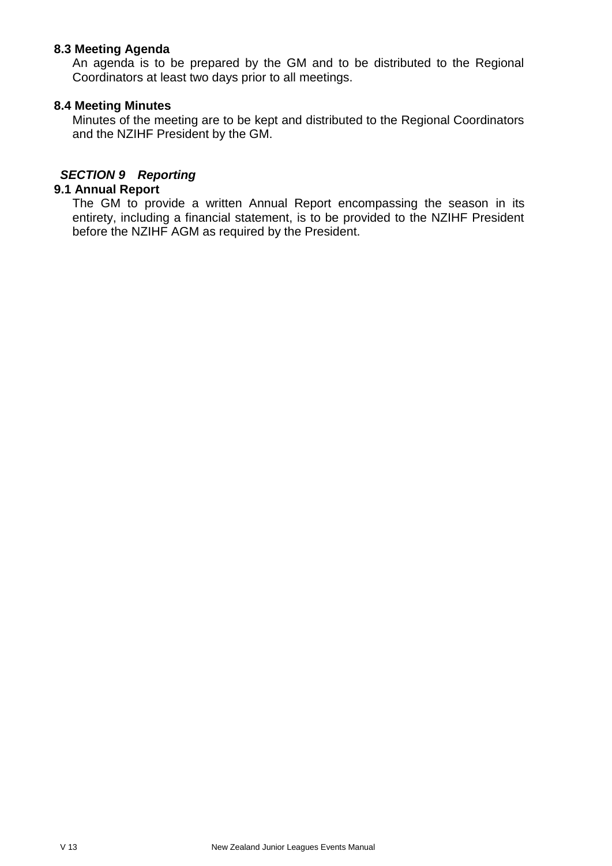#### **8.3 Meeting Agenda**

An agenda is to be prepared by the GM and to be distributed to the Regional Coordinators at least two days prior to all meetings.

#### **8.4 Meeting Minutes**

Minutes of the meeting are to be kept and distributed to the Regional Coordinators and the NZIHF President by the GM.

## *SECTION 9 Reporting*

## **9.1 Annual Report**

The GM to provide a written Annual Report encompassing the season in its entirety, including a financial statement, is to be provided to the NZIHF President before the NZIHF AGM as required by the President.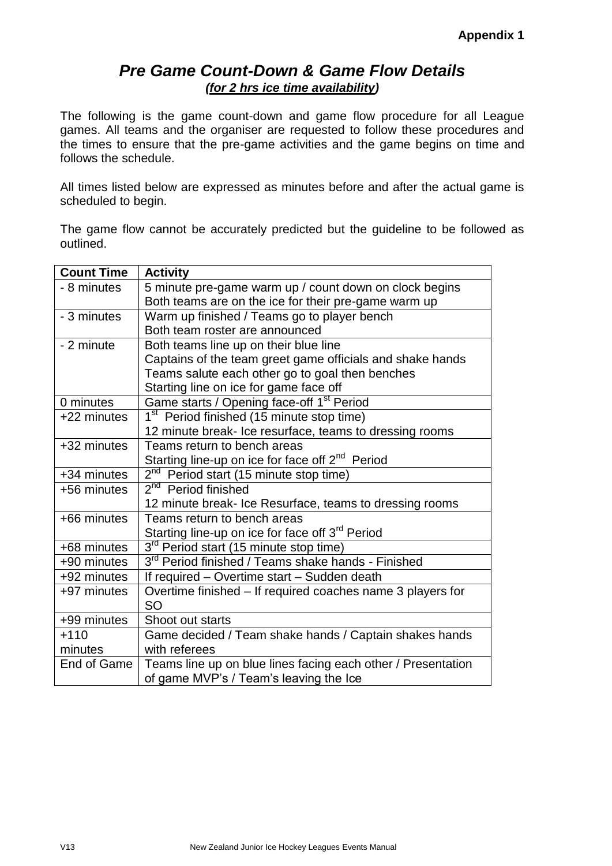## *Pre Game Count-Down & Game Flow Details (for 2 hrs ice time availability)*

The following is the game count-down and game flow procedure for all League games. All teams and the organiser are requested to follow these procedures and the times to ensure that the pre-game activities and the game begins on time and follows the schedule.

All times listed below are expressed as minutes before and after the actual game is scheduled to begin.

The game flow cannot be accurately predicted but the guideline to be followed as outlined.

| <b>Count Time</b> | <b>Activity</b>                                                |
|-------------------|----------------------------------------------------------------|
| - 8 minutes       | 5 minute pre-game warm up / count down on clock begins         |
|                   | Both teams are on the ice for their pre-game warm up           |
| - 3 minutes       | Warm up finished / Teams go to player bench                    |
|                   | Both team roster are announced                                 |
| - 2 minute        | Both teams line up on their blue line                          |
|                   | Captains of the team greet game officials and shake hands      |
|                   | Teams salute each other go to goal then benches                |
|                   | Starting line on ice for game face off                         |
| 0 minutes         | Game starts / Opening face-off 1 <sup>st</sup> Period          |
| +22 minutes       | 1 <sup>st</sup> Period finished (15 minute stop time)          |
|                   | 12 minute break- Ice resurface, teams to dressing rooms        |
| +32 minutes       | Teams return to bench areas                                    |
|                   | Starting line-up on ice for face off 2 <sup>nd</sup> Period    |
| +34 minutes       | $2nd$ Period start (15 minute stop time)                       |
| +56 minutes       | 2 <sup>nd</sup> Period finished                                |
|                   | 12 minute break- Ice Resurface, teams to dressing rooms        |
| +66 minutes       | Teams return to bench areas                                    |
|                   | Starting line-up on ice for face off 3 <sup>rd</sup> Period    |
| +68 minutes       | 3 <sup>rd</sup> Period start (15 minute stop time)             |
| +90 minutes       | 3 <sup>rd</sup> Period finished / Teams shake hands - Finished |
| +92 minutes       | If required - Overtime start - Sudden death                    |
| +97 minutes       | Overtime finished - If required coaches name 3 players for     |
|                   | <b>SO</b>                                                      |
| +99 minutes       | Shoot out starts                                               |
| $+110$            | Game decided / Team shake hands / Captain shakes hands         |
| minutes           | with referees                                                  |
| End of Game       | Teams line up on blue lines facing each other / Presentation   |
|                   | of game MVP's / Team's leaving the Ice                         |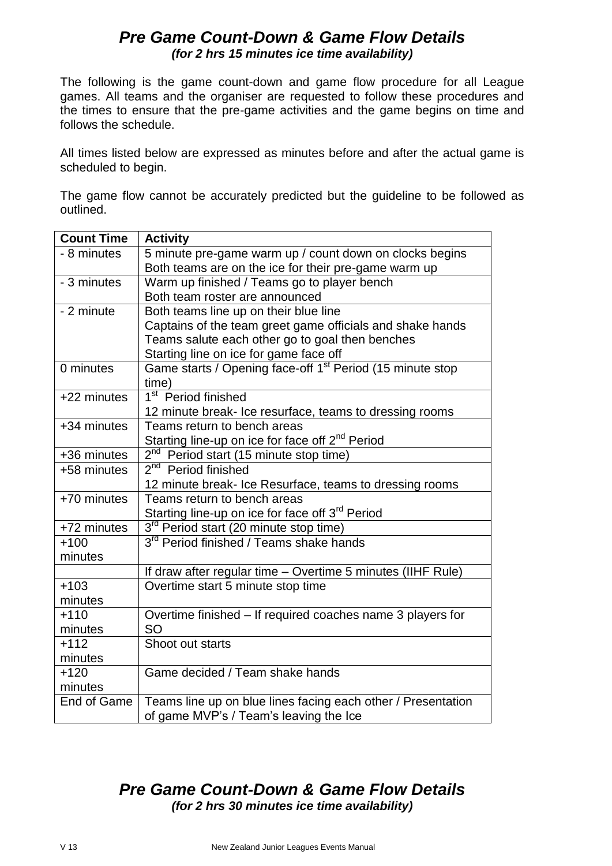## *Pre Game Count-Down & Game Flow Details (for 2 hrs 15 minutes ice time availability)*

The following is the game count-down and game flow procedure for all League games. All teams and the organiser are requested to follow these procedures and the times to ensure that the pre-game activities and the game begins on time and follows the schedule.

All times listed below are expressed as minutes before and after the actual game is scheduled to begin.

The game flow cannot be accurately predicted but the guideline to be followed as outlined.

| <b>Count Time</b> | <b>Activity</b>                                                       |
|-------------------|-----------------------------------------------------------------------|
| - 8 minutes       | 5 minute pre-game warm up / count down on clocks begins               |
|                   | Both teams are on the ice for their pre-game warm up                  |
| - 3 minutes       | Warm up finished / Teams go to player bench                           |
|                   | Both team roster are announced                                        |
| - 2 minute        | Both teams line up on their blue line                                 |
|                   | Captains of the team greet game officials and shake hands             |
|                   | Teams salute each other go to goal then benches                       |
|                   | Starting line on ice for game face off                                |
| 0 minutes         | Game starts / Opening face-off 1 <sup>st</sup> Period (15 minute stop |
|                   | time)                                                                 |
| +22 minutes       | 1 <sup>st</sup> Period finished                                       |
|                   | 12 minute break- Ice resurface, teams to dressing rooms               |
| +34 minutes       | Teams return to bench areas                                           |
|                   | Starting line-up on ice for face off 2 <sup>nd</sup> Period           |
| +36 minutes       | 2 <sup>nd</sup> Period start (15 minute stop time)                    |
| +58 minutes       | 2 <sup>nd</sup> Period finished                                       |
|                   | 12 minute break- Ice Resurface, teams to dressing rooms               |
| +70 minutes       | Teams return to bench areas                                           |
|                   | Starting line-up on ice for face off 3 <sup>rd</sup> Period           |
| +72 minutes       | 3 <sup>rd</sup> Period start (20 minute stop time)                    |
| $+100$            | 3 <sup>rd</sup> Period finished / Teams shake hands                   |
| minutes           |                                                                       |
|                   | If draw after regular time - Overtime 5 minutes (IIHF Rule)           |
| $+103$            | Overtime start 5 minute stop time                                     |
| minutes           |                                                                       |
| $+110$            | Overtime finished - If required coaches name 3 players for            |
| minutes           | <b>SO</b>                                                             |
| $+112$            | Shoot out starts                                                      |
| minutes           |                                                                       |
| $+120$            | Game decided / Team shake hands                                       |
| minutes           |                                                                       |
| End of Game       | Teams line up on blue lines facing each other / Presentation          |
|                   | of game MVP's / Team's leaving the Ice                                |

# *Pre Game Count-Down & Game Flow Details (for 2 hrs 30 minutes ice time availability)*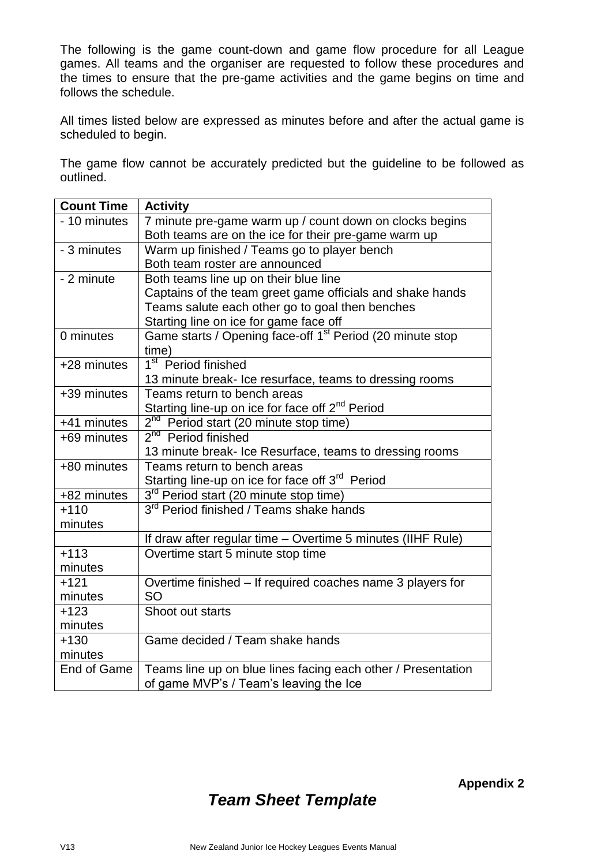The following is the game count-down and game flow procedure for all League games. All teams and the organiser are requested to follow these procedures and the times to ensure that the pre-game activities and the game begins on time and follows the schedule.

All times listed below are expressed as minutes before and after the actual game is scheduled to begin.

The game flow cannot be accurately predicted but the guideline to be followed as outlined.

| <b>Count Time</b> | <b>Activity</b>                                                       |
|-------------------|-----------------------------------------------------------------------|
| - 10 minutes      | 7 minute pre-game warm up / count down on clocks begins               |
|                   | Both teams are on the ice for their pre-game warm up                  |
| - 3 minutes       | Warm up finished / Teams go to player bench                           |
|                   | Both team roster are announced                                        |
| - 2 minute        | Both teams line up on their blue line                                 |
|                   | Captains of the team greet game officials and shake hands             |
|                   | Teams salute each other go to goal then benches                       |
|                   | Starting line on ice for game face off                                |
| 0 minutes         | Game starts / Opening face-off 1 <sup>st</sup> Period (20 minute stop |
|                   | time)                                                                 |
| +28 minutes       | 1 <sup>st</sup> Period finished                                       |
|                   | 13 minute break- Ice resurface, teams to dressing rooms               |
| +39 minutes       | Teams return to bench areas                                           |
|                   | Starting line-up on ice for face off 2 <sup>nd</sup> Period           |
| +41 minutes       | 2 <sup>nd</sup> Period start (20 minute stop time)                    |
| +69 minutes       | 2 <sup>nd</sup> Period finished                                       |
|                   | 13 minute break- Ice Resurface, teams to dressing rooms               |
| +80 minutes       | Teams return to bench areas                                           |
|                   | Starting line-up on ice for face off 3 <sup>rd</sup> Period           |
| +82 minutes       | 3 <sup>rd</sup> Period start (20 minute stop time)                    |
| $+110$            | 3 <sup>rd</sup> Period finished / Teams shake hands                   |
| minutes           |                                                                       |
|                   | If draw after regular time - Overtime 5 minutes (IIHF Rule)           |
| $+113$            | Overtime start 5 minute stop time                                     |
| minutes           |                                                                       |
| $+121$            | Overtime finished - If required coaches name 3 players for            |
| minutes           | <b>SO</b>                                                             |
| $+123$            | Shoot out starts                                                      |
| minutes           |                                                                       |
| $+130$            | Game decided / Team shake hands                                       |
| minutes           |                                                                       |
| End of Game       | Teams line up on blue lines facing each other / Presentation          |
|                   | of game MVP's / Team's leaving the Ice                                |

# *Team Sheet Template*

**Appendix 2**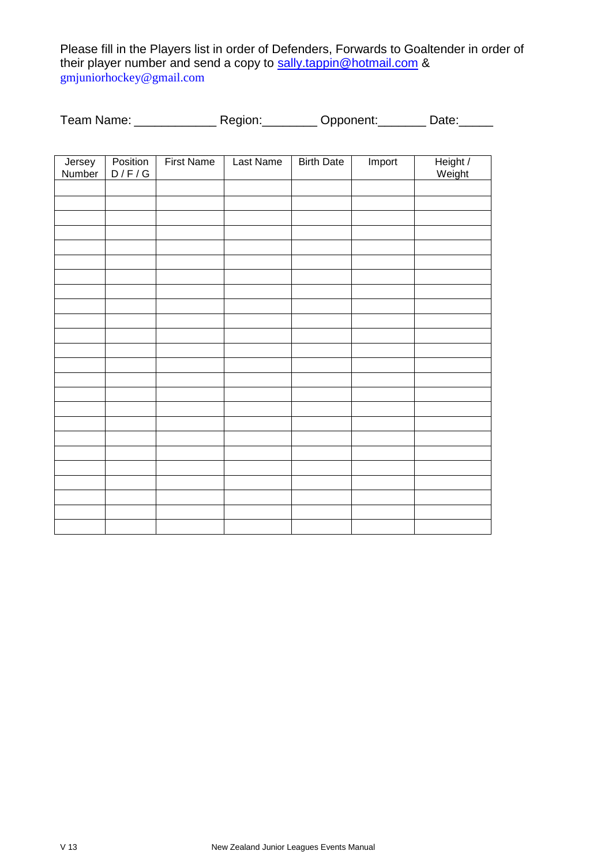Please fill in the Players list in order of Defenders, Forwards to Goaltender in order of their player number and send a copy to <u>sally.tappin@hotmail.com</u> & gmjuniorhockey@gmail.com

| Team Name: | Region: | Opponent: | Date: |
|------------|---------|-----------|-------|
|------------|---------|-----------|-------|

| Jersey<br>Number | Position<br>D / F / G | <b>First Name</b> | Last Name | <b>Birth Date</b> | Import | Height /<br>Weight |
|------------------|-----------------------|-------------------|-----------|-------------------|--------|--------------------|
|                  |                       |                   |           |                   |        |                    |
|                  |                       |                   |           |                   |        |                    |
|                  |                       |                   |           |                   |        |                    |
|                  |                       |                   |           |                   |        |                    |
|                  |                       |                   |           |                   |        |                    |
|                  |                       |                   |           |                   |        |                    |
|                  |                       |                   |           |                   |        |                    |
|                  |                       |                   |           |                   |        |                    |
|                  |                       |                   |           |                   |        |                    |
|                  |                       |                   |           |                   |        |                    |
|                  |                       |                   |           |                   |        |                    |
|                  |                       |                   |           |                   |        |                    |
|                  |                       |                   |           |                   |        |                    |
|                  |                       |                   |           |                   |        |                    |
|                  |                       |                   |           |                   |        |                    |
|                  |                       |                   |           |                   |        |                    |
|                  |                       |                   |           |                   |        |                    |
|                  |                       |                   |           |                   |        |                    |
|                  |                       |                   |           |                   |        |                    |
|                  |                       |                   |           |                   |        |                    |
|                  |                       |                   |           |                   |        |                    |
|                  |                       |                   |           |                   |        |                    |
|                  |                       |                   |           |                   |        |                    |
|                  |                       |                   |           |                   |        |                    |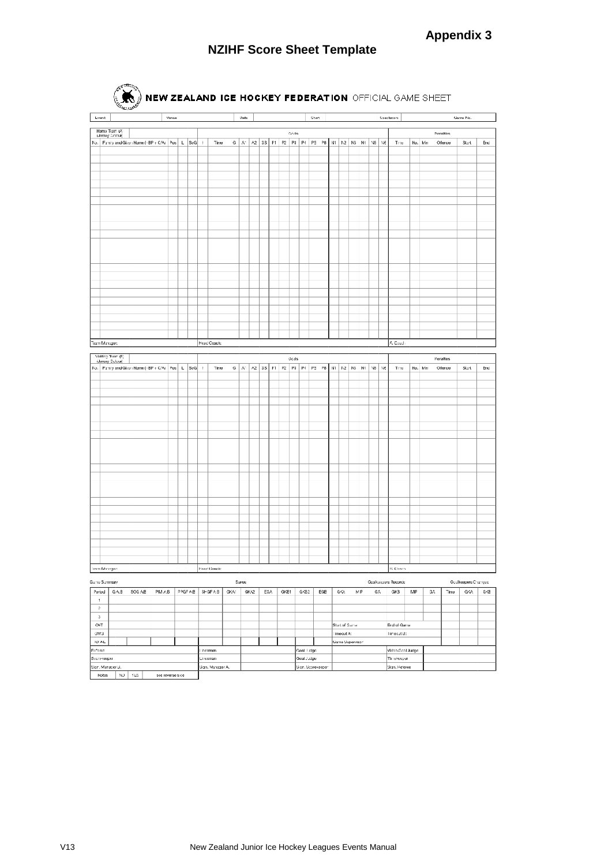## **NZIHF Score Sheet Template**

| Event                  |                                         |                                                         |         | Venue |          |             |      | Llate      |      |     |      |       |            | Start                                                              |               |                 |         | Spectators |                     |          |     |                  | Game No.            |     |
|------------------------|-----------------------------------------|---------------------------------------------------------|---------|-------|----------|-------------|------|------------|------|-----|------|-------|------------|--------------------------------------------------------------------|---------------|-----------------|---------|------------|---------------------|----------|-----|------------------|---------------------|-----|
|                        |                                         |                                                         |         |       |          |             |      |            |      |     |      |       |            |                                                                    |               |                 |         |            |                     |          |     |                  |                     |     |
|                        | Home Team (A)<br><b>Glersey Colour)</b> |                                                         |         |       |          |             |      |            |      |     |      | Goda  |            |                                                                    |               |                 |         |            |                     |          |     | <b>Penalties</b> |                     |     |
|                        |                                         | No.   Family and Given Name (-BP + C/A)   Pos   L   SoG |         |       |          | $\eta$      | Time |            |      |     |      |       |            | G   A1   A2   GS   P1   P2   P3   P4   P5   P8   N1   N2   N3   N4 |               |                 | $NS$ Ne |            | Time                | No. Min  |     | Ollenos          | Start               | End |
|                        |                                         |                                                         |         |       |          |             |      |            |      |     |      |       |            |                                                                    |               |                 |         |            |                     |          |     |                  |                     |     |
|                        |                                         |                                                         |         |       |          |             |      |            |      |     |      |       |            |                                                                    |               |                 |         |            |                     |          |     |                  |                     |     |
|                        |                                         |                                                         |         |       |          |             |      |            |      |     |      |       |            |                                                                    |               |                 |         |            |                     |          |     |                  |                     |     |
|                        |                                         |                                                         |         |       |          |             |      |            |      |     |      |       |            |                                                                    |               |                 |         |            |                     |          |     |                  |                     |     |
|                        |                                         |                                                         |         |       |          |             |      |            |      |     |      |       |            |                                                                    |               |                 |         |            |                     |          |     |                  |                     |     |
|                        |                                         |                                                         |         |       |          |             |      |            |      |     |      |       |            |                                                                    |               |                 |         |            |                     |          |     |                  |                     |     |
|                        |                                         |                                                         |         |       |          |             |      |            |      |     |      |       |            |                                                                    |               |                 |         |            |                     |          |     |                  |                     |     |
|                        |                                         |                                                         |         |       |          |             |      |            |      |     |      |       |            |                                                                    |               |                 |         |            |                     |          |     |                  |                     |     |
|                        |                                         |                                                         |         |       |          |             |      |            |      |     |      |       |            |                                                                    |               |                 |         |            |                     |          |     |                  |                     |     |
|                        |                                         |                                                         |         |       |          |             |      |            |      |     |      |       |            |                                                                    |               |                 |         |            |                     |          |     |                  |                     |     |
|                        |                                         |                                                         |         |       |          |             |      |            |      |     |      |       |            |                                                                    |               |                 |         |            |                     |          |     |                  |                     |     |
|                        |                                         |                                                         |         |       |          |             |      |            |      |     |      |       |            |                                                                    |               |                 |         |            |                     |          |     |                  |                     |     |
|                        |                                         |                                                         |         |       |          |             |      |            |      |     |      |       |            |                                                                    |               |                 |         |            |                     |          |     |                  |                     |     |
|                        |                                         |                                                         |         |       |          |             |      |            |      |     |      |       |            |                                                                    |               |                 |         |            |                     |          |     |                  |                     |     |
|                        |                                         |                                                         |         |       |          |             |      |            |      |     |      |       |            |                                                                    |               |                 |         |            |                     |          |     |                  |                     |     |
|                        |                                         |                                                         |         |       |          |             |      |            |      |     |      |       |            |                                                                    |               |                 |         |            |                     |          |     |                  |                     |     |
|                        |                                         |                                                         |         |       |          |             |      |            |      |     |      |       |            |                                                                    |               |                 |         |            |                     |          |     |                  |                     |     |
|                        |                                         |                                                         |         |       |          |             |      |            |      |     |      |       |            |                                                                    |               |                 |         |            |                     |          |     |                  |                     |     |
|                        |                                         |                                                         |         |       |          |             |      |            |      |     |      |       |            |                                                                    |               |                 |         |            |                     |          |     |                  |                     |     |
|                        |                                         |                                                         |         |       |          |             |      |            |      |     |      |       |            |                                                                    |               |                 |         |            |                     |          |     |                  |                     |     |
|                        |                                         |                                                         |         |       |          |             |      |            |      |     |      |       |            |                                                                    |               |                 |         |            |                     |          |     |                  |                     |     |
|                        |                                         |                                                         |         |       |          |             |      |            |      |     |      |       |            |                                                                    |               |                 |         |            |                     |          |     |                  |                     |     |
|                        | Team Manager:                           |                                                         |         |       |          | Head Coach: |      |            |      |     |      |       |            |                                                                    |               |                 |         |            | A. Coach            |          |     |                  |                     |     |
|                        |                                         |                                                         |         |       |          |             |      |            |      |     |      |       |            |                                                                    |               |                 |         |            |                     |          |     |                  |                     |     |
|                        | Visiting Team (B)                       |                                                         |         |       |          |             |      |            |      |     |      | Goals |            |                                                                    |               |                 |         |            |                     |          |     | Fenalties        |                     |     |
|                        | (Jersey Colour)                         | No.   Family and Given Name (-BP + C/AF Pos   L   SuG   |         |       |          | ły.         | Time | $G \mid M$ | A2   |     |      |       |            | 33    P1    P2    P3    P4    P5    P8    N1    N2    N3    N4     |               |                 | 45      | Ne         | Tree                | No. Min. |     | Ollenoe          | Start               | End |
|                        |                                         |                                                         |         |       |          |             |      |            |      |     |      |       |            |                                                                    |               |                 |         |            |                     |          |     |                  |                     |     |
|                        |                                         |                                                         |         |       |          |             |      |            |      |     |      |       |            |                                                                    |               |                 |         |            |                     |          |     |                  |                     |     |
|                        |                                         |                                                         |         |       |          |             |      |            |      |     |      |       |            |                                                                    |               |                 |         |            |                     |          |     |                  |                     |     |
|                        |                                         |                                                         |         |       |          |             |      |            |      |     |      |       |            |                                                                    |               |                 |         |            |                     |          |     |                  |                     |     |
|                        |                                         |                                                         |         |       |          |             |      |            |      |     |      |       |            |                                                                    |               |                 |         |            |                     |          |     |                  |                     |     |
|                        |                                         |                                                         |         |       |          |             |      |            |      |     |      |       |            |                                                                    |               |                 |         |            |                     |          |     |                  |                     |     |
|                        |                                         |                                                         |         |       |          |             |      |            |      |     |      |       |            |                                                                    |               |                 |         |            |                     |          |     |                  |                     |     |
|                        |                                         |                                                         |         |       |          |             |      |            |      |     |      |       |            |                                                                    |               |                 |         |            |                     |          |     |                  |                     |     |
|                        |                                         |                                                         |         |       |          |             |      |            |      |     |      |       |            |                                                                    |               |                 |         |            |                     |          |     |                  |                     |     |
|                        |                                         |                                                         |         |       |          |             |      |            |      |     |      |       |            |                                                                    |               |                 |         |            |                     |          |     |                  |                     |     |
|                        |                                         |                                                         |         |       |          |             |      |            |      |     |      |       |            |                                                                    |               |                 |         |            |                     |          |     |                  |                     |     |
|                        |                                         |                                                         |         |       |          |             |      |            |      |     |      |       |            |                                                                    |               |                 |         |            |                     |          |     |                  |                     |     |
|                        |                                         |                                                         |         |       |          |             |      |            |      |     |      |       |            |                                                                    |               |                 |         |            |                     |          |     |                  |                     |     |
|                        |                                         |                                                         |         |       |          |             |      |            |      |     |      |       |            |                                                                    |               |                 |         |            |                     |          |     |                  |                     |     |
|                        |                                         |                                                         |         |       |          |             |      |            |      |     |      |       |            |                                                                    |               |                 |         |            |                     |          |     |                  |                     |     |
|                        |                                         |                                                         |         |       |          |             |      |            |      |     |      |       |            |                                                                    |               |                 |         |            |                     |          |     |                  |                     |     |
|                        |                                         |                                                         |         |       |          |             |      |            |      |     |      |       |            |                                                                    |               |                 |         |            |                     |          |     |                  |                     |     |
|                        |                                         |                                                         |         |       |          |             |      |            |      |     |      |       |            |                                                                    |               |                 |         |            |                     |          |     |                  |                     |     |
|                        |                                         |                                                         |         |       |          |             |      |            |      |     |      |       |            |                                                                    |               |                 |         |            |                     |          |     |                  |                     |     |
|                        |                                         |                                                         |         |       |          |             |      |            |      |     |      |       |            |                                                                    |               |                 |         |            |                     |          |     |                  |                     |     |
|                        |                                         |                                                         |         |       |          |             |      |            |      |     |      |       |            |                                                                    |               |                 |         |            |                     |          |     |                  |                     |     |
|                        |                                         |                                                         |         |       |          |             |      |            |      |     |      |       |            |                                                                    |               |                 |         |            |                     |          |     |                  |                     |     |
|                        |                                         |                                                         |         |       |          |             |      |            |      |     |      |       |            |                                                                    |               |                 |         |            |                     |          |     |                  |                     |     |
|                        | leam Manager:                           |                                                         |         |       |          | Head Coach: |      |            |      |     |      |       |            |                                                                    |               |                 |         |            | B. Coson            |          |     |                  |                     |     |
|                        | Game Summary                            |                                                         |         |       |          |             |      | Saves      |      |     |      |       |            |                                                                    |               |                 |         |            | Goalkeepers Records |          |     |                  | Goalkeepers Changes |     |
| Period                 | G A:B                                   | SOG AB                                                  | PIM A:B |       | PPGF A:B | SHGF A:B    | GKA1 |            | GKA2 | EGA | GKB1 |       | GKB2       | EGE                                                                | GKA.          | MP              | G٨      |            | GKB                 | MP       | GA. | Time             | GKA.                | GKB |
|                        |                                         |                                                         |         |       |          |             |      |            |      |     |      |       |            |                                                                    |               |                 |         |            |                     |          |     |                  |                     |     |
|                        |                                         |                                                         |         |       |          |             |      |            |      |     |      |       |            |                                                                    |               |                 |         |            |                     |          |     |                  |                     |     |
| $\,$<br>3              |                                         |                                                         |         |       |          |             |      |            |      |     |      |       |            |                                                                    |               |                 |         |            |                     |          |     |                  |                     |     |
| OVT                    |                                         |                                                         |         |       |          |             |      |            |      |     |      |       |            |                                                                    | Start of Game |                 |         |            | End of Game         |          |     |                  |                     |     |
| GW3                    |                                         |                                                         |         |       |          |             |      |            |      |     |      |       |            |                                                                    | Imeout A:     |                 |         |            | Timeout B:          |          |     |                  |                     |     |
| <b>TOTAL</b>           |                                         |                                                         |         |       |          |             |      |            |      |     |      |       |            |                                                                    |               |                 |         |            |                     |          |     |                  |                     |     |
|                        |                                         |                                                         |         |       |          | Incamen     |      |            |      |     |      |       | Goal Judge |                                                                    |               | Game Supervisor |         |            | Video Goal Judge    |          |     |                  |                     |     |
|                        |                                         |                                                         |         |       |          |             |      |            |      |     |      |       |            |                                                                    |               |                 |         |            |                     |          |     |                  |                     |     |
| Peferan<br>Scorekeeper |                                         |                                                         |         |       |          | Linearman   |      |            |      |     |      |       | Goal Judge |                                                                    |               |                 |         |            | Timekeeper          |          |     |                  |                     |     |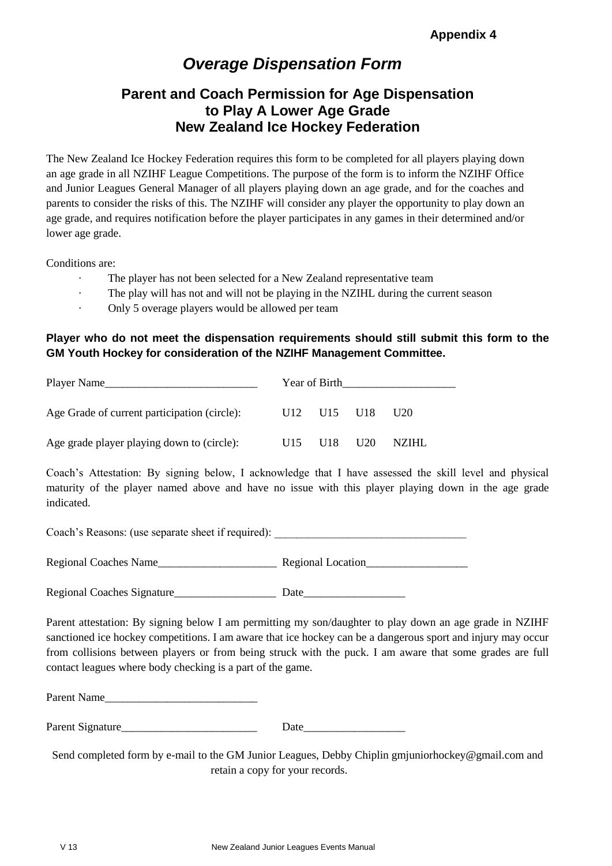# *Overage Dispensation Form*

## **Parent and Coach Permission for Age Dispensation to Play A Lower Age Grade New Zealand Ice Hockey Federation**

The New Zealand Ice Hockey Federation requires this form to be completed for all players playing down an age grade in all NZIHF League Competitions. The purpose of the form is to inform the NZIHF Office and Junior Leagues General Manager of all players playing down an age grade, and for the coaches and parents to consider the risks of this. The NZIHF will consider any player the opportunity to play down an age grade, and requires notification before the player participates in any games in their determined and/or lower age grade.

Conditions are:

- The player has not been selected for a New Zealand representative team
- · The play will has not and will not be playing in the NZIHL during the current season
- · Only 5 overage players would be allowed per team

#### **Player who do not meet the dispensation requirements should still submit this form to the GM Youth Hockey for consideration of the NZIHF Management Committee.**

| Player Name                                  |     | Year of Birth                                   |                 |
|----------------------------------------------|-----|-------------------------------------------------|-----------------|
| Age Grade of current participation (circle): |     | U <sub>12</sub> U <sub>15</sub> U <sub>18</sub> | U <sub>20</sub> |
| Age grade player playing down to (circle):   | U15 | U18 U20                                         | NZIHL.          |

Coach's Attestation: By signing below, I acknowledge that I have assessed the skill level and physical maturity of the player named above and have no issue with this player playing down in the age grade indicated.

Coach's Reasons: (use separate sheet if required): Regional Coaches Name **Regional Location** 

Regional Coaches Signature\_\_\_\_\_\_\_\_\_\_\_\_\_\_\_\_\_\_ Date\_\_\_\_\_\_\_\_\_\_\_\_\_\_\_\_\_\_

Parent attestation: By signing below I am permitting my son/daughter to play down an age grade in NZIHF sanctioned ice hockey competitions. I am aware that ice hockey can be a dangerous sport and injury may occur from collisions between players or from being struck with the puck. I am aware that some grades are full contact leagues where body checking is a part of the game.

Parent Name

| Parent Signature |  |
|------------------|--|
|                  |  |

Send completed form by e-mail to the GM Junior Leagues, Debby Chiplin gmjuniorhockey@gmail.com and retain a copy for your records.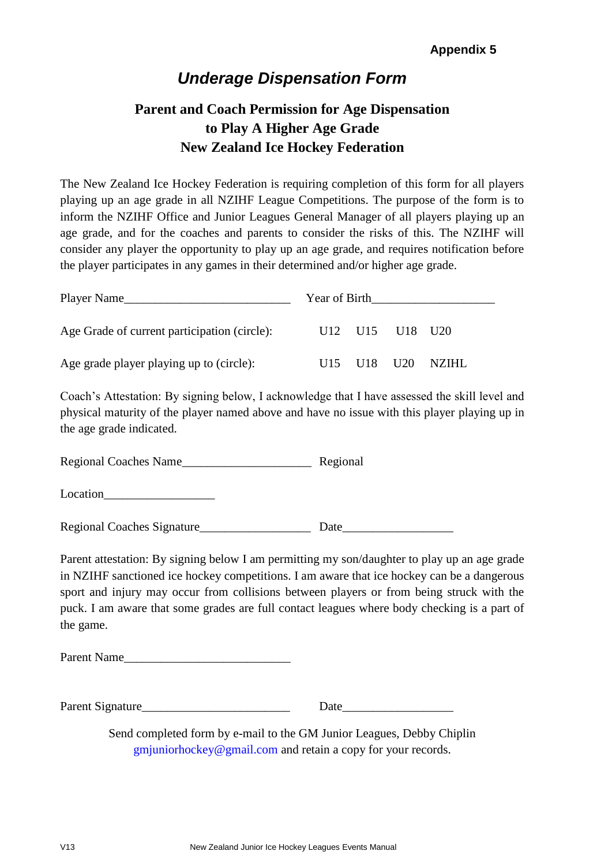# *Underage Dispensation Form*

# **Parent and Coach Permission for Age Dispensation to Play A Higher Age Grade New Zealand Ice Hockey Federation**

The New Zealand Ice Hockey Federation is requiring completion of this form for all players playing up an age grade in all NZIHF League Competitions. The purpose of the form is to inform the NZIHF Office and Junior Leagues General Manager of all players playing up an age grade, and for the coaches and parents to consider the risks of this. The NZIHF will consider any player the opportunity to play up an age grade, and requires notification before the player participates in any games in their determined and/or higher age grade.

| Player Name                                  | Year of Birth |             |                                                                 |        |  |
|----------------------------------------------|---------------|-------------|-----------------------------------------------------------------|--------|--|
| Age Grade of current participation (circle): |               |             | U <sub>12</sub> U <sub>15</sub> U <sub>18</sub> U <sub>20</sub> |        |  |
| Age grade player playing up to (circle):     |               | U15 U18 U20 |                                                                 | NZIHL. |  |

Coach's Attestation: By signing below, I acknowledge that I have assessed the skill level and physical maturity of the player named above and have no issue with this player playing up in the age grade indicated.

Regional Coaches Name\_\_\_\_\_\_\_\_\_\_\_\_\_\_\_\_\_\_\_\_\_ Regional

Location\_\_\_\_\_\_\_\_\_\_\_\_\_\_\_\_\_\_

Regional Coaches Signature Date

Parent attestation: By signing below I am permitting my son/daughter to play up an age grade in NZIHF sanctioned ice hockey competitions. I am aware that ice hockey can be a dangerous sport and injury may occur from collisions between players or from being struck with the puck. I am aware that some grades are full contact leagues where body checking is a part of the game.

Parent Name\_\_\_\_\_\_\_\_\_\_\_\_\_\_\_\_\_\_\_\_\_\_\_\_\_\_\_

Parent Signature\_\_\_\_\_\_\_\_\_\_\_\_\_\_\_\_\_\_\_\_\_\_\_\_ Date\_\_\_\_\_\_\_\_\_\_\_\_\_\_\_\_\_\_

Send completed form by e-mail to the GM Junior Leagues, Debby Chiplin gmjuniorhockey@gmail.com and retain a copy for your records.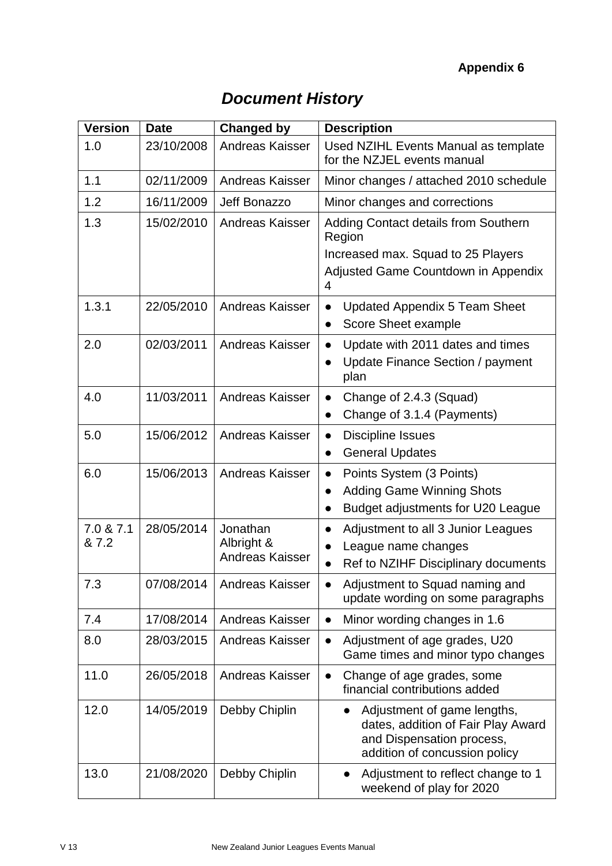## **Appendix 6**

| <b>Document History</b> |  |
|-------------------------|--|
|-------------------------|--|

| <b>Version</b>     | <b>Date</b> | <b>Changed by</b>                                | <b>Description</b>                                                                                                                           |
|--------------------|-------------|--------------------------------------------------|----------------------------------------------------------------------------------------------------------------------------------------------|
| 1.0                | 23/10/2008  | Andreas Kaisser                                  | Used NZIHL Events Manual as template<br>for the NZJEL events manual                                                                          |
| 1.1                | 02/11/2009  | Andreas Kaisser                                  | Minor changes / attached 2010 schedule                                                                                                       |
| 1.2                | 16/11/2009  | Jeff Bonazzo                                     | Minor changes and corrections                                                                                                                |
| 1.3                | 15/02/2010  | <b>Andreas Kaisser</b>                           | <b>Adding Contact details from Southern</b><br>Region<br>Increased max. Squad to 25 Players<br>Adjusted Game Countdown in Appendix<br>4      |
| 1.3.1              | 22/05/2010  | <b>Andreas Kaisser</b>                           | <b>Updated Appendix 5 Team Sheet</b><br>Score Sheet example<br>$\bullet$                                                                     |
| 2.0                | 02/03/2011  | <b>Andreas Kaisser</b>                           | Update with 2011 dates and times<br>Update Finance Section / payment<br>plan                                                                 |
| 4.0                | 11/03/2011  | <b>Andreas Kaisser</b>                           | Change of 2.4.3 (Squad)<br>$\bullet$<br>Change of 3.1.4 (Payments)<br>$\bullet$                                                              |
| 5.0                | 15/06/2012  | <b>Andreas Kaisser</b>                           | <b>Discipline Issues</b><br>$\bullet$<br><b>General Updates</b><br>$\bullet$                                                                 |
| 6.0                | 15/06/2013  | <b>Andreas Kaisser</b>                           | Points System (3 Points)<br><b>Adding Game Winning Shots</b><br>Budget adjustments for U20 League<br>$\bullet$                               |
| 7.0 & 7.1<br>& 7.2 | 28/05/2014  | Jonathan<br>Albright &<br><b>Andreas Kaisser</b> | Adjustment to all 3 Junior Leagues<br>League name changes<br>Ref to NZIHF Disciplinary documents                                             |
| 7.3                | 07/08/2014  | <b>Andreas Kaisser</b>                           | Adjustment to Squad naming and<br>update wording on some paragraphs                                                                          |
| 7.4                | 17/08/2014  | <b>Andreas Kaisser</b>                           | Minor wording changes in 1.6<br>$\bullet$                                                                                                    |
| 8.0                | 28/03/2015  | <b>Andreas Kaisser</b>                           | Adjustment of age grades, U20<br>Game times and minor typo changes                                                                           |
| 11.0               | 26/05/2018  | <b>Andreas Kaisser</b>                           | Change of age grades, some<br>$\bullet$<br>financial contributions added                                                                     |
| 12.0               | 14/05/2019  | Debby Chiplin                                    | Adjustment of game lengths,<br>$\bullet$<br>dates, addition of Fair Play Award<br>and Dispensation process,<br>addition of concussion policy |
| 13.0               | 21/08/2020  | Debby Chiplin                                    | Adjustment to reflect change to 1<br>$\bullet$<br>weekend of play for 2020                                                                   |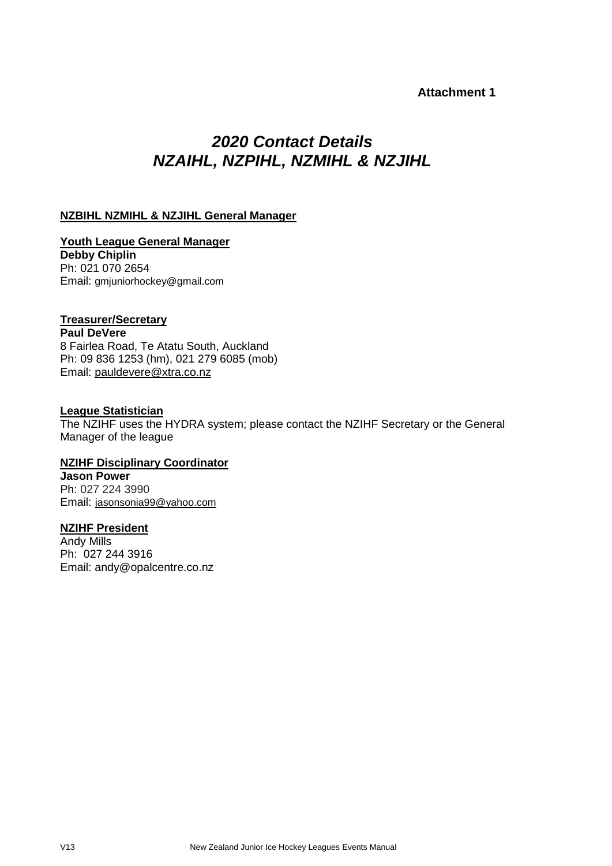#### **Attachment 1**

# *2020 Contact Details NZAIHL, NZPIHL, NZMIHL & NZJIHL*

#### **NZBIHL NZMIHL & NZJIHL General Manager**

**Youth League General Manager Debby Chiplin** Ph: 021 070 2654 Email: gmjuniorhockey@gmail.com

#### **Treasurer/Secretary**

**Paul DeVere**

8 Fairlea Road, Te Atatu South, Auckland Ph: 09 836 1253 (hm), 021 279 6085 (mob) Email: [pauldevere@xtra.co.nz](mailto:pauldevere@xtra.co.nz)

#### **League Statistician**

The NZIHF uses the HYDRA system; please contact the NZIHF Secretary or the General Manager of the league

**NZIHF Disciplinary Coordinator Jason Power** Ph: 027 224 3990

Email: [jasonsonia99@yahoo.com](mailto:jasonsonia99@yahoo.com)

#### **NZIHF President**

Andy Mills Ph: 027 244 3916 Email: andy@opalcentre.co.nz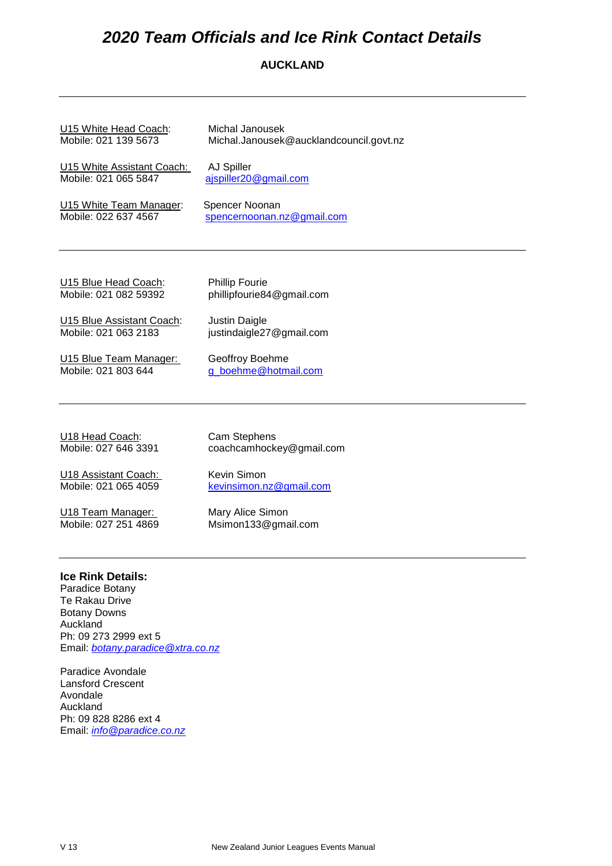# *2020 Team Officials and Ice Rink Contact Details*

#### **AUCKLAND**

| U15 White Head Coach:      | Michal Janousek                         |
|----------------------------|-----------------------------------------|
| Mobile: 021 139 5673       | Michal.Janousek@aucklandcouncil.govt.nz |
| U15 White Assistant Coach: | AJ Spiller                              |
| Mobile: 021 065 5847       | ajspiller20@gmail.com                   |
| U15 White Team Manager:    | Spencer Noonan                          |
| Mobile: 022 637 4567       | spencernoonan.nz@gmail.com              |
|                            |                                         |
| U15 Blue Head Coach:       | <b>Phillip Fourie</b>                   |
| Mobile: 021 082 59392      | phillipfourie84@gmail.com               |
| U15 Blue Assistant Coach:  | Justin Daigle                           |
| Mobile: 021 063 2183       | justindaigle27@gmail.com                |
| U15 Blue Team Manager:     | Geoffroy Boehme                         |
| Mobile: 021 803 644        | g_boehme@hotmail.com                    |
|                            |                                         |

U18 Head Coach: Cam Stephens<br>
Mobile: 027 646 3391 coachcamhock

coachcamhockey@gmail.com

U18 Assistant Coach: Kevin Simon<br>
Mobile: 021 065 4059 Revinsimon.n

U18 Team Manager: Mary Alice Simon<br>
Mobile: 027 251 4869 Msimon133@gma

[kevinsimon.nz@gmail.com](mailto:kevinsimon.nz@gmail.com)

Msimon133@gmail.com

#### **Ice Rink Details:**

Paradice Botany Te Rakau Drive Botany Downs Auckland Ph: 09 273 2999 ext 5 Email: *[botany.paradice@xtra.co.nz](mailto:botany.paradice@xtra.co.nz)*

Paradice Avondale Lansford Crescent Avondale Auckland Ph: 09 828 8286 ext 4 Email: *[info@paradice.co.nz](mailto:info@paradice.co.nz)*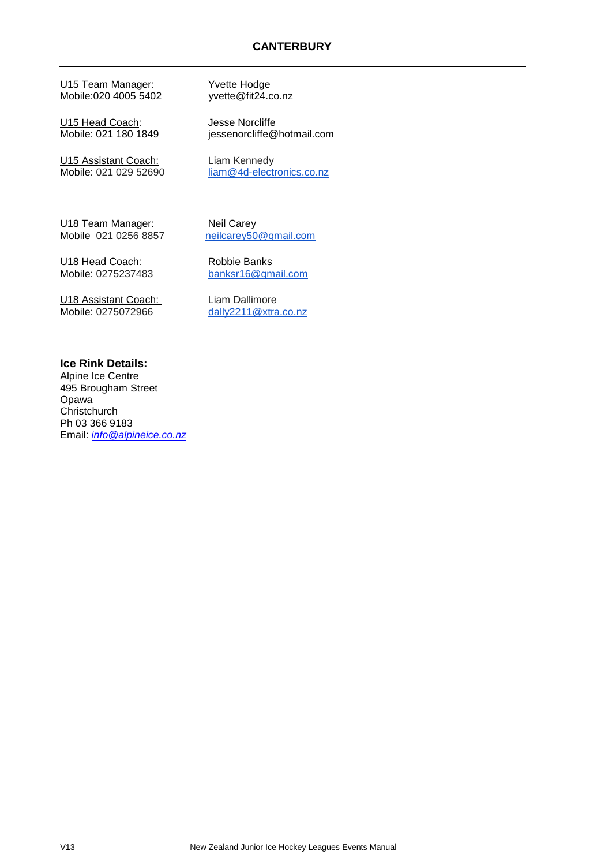U15 Team Manager:<br>Mobile:020 4005 5402 vyette@fit24.co.nz Mobile:020 4005 5402

U15 Head Coach: Jesse Norcliffe<br>
Mobile: 021 180 1849 iessenorcliffe@

U15 Assistant Coach: Liam Kennedy<br>
Mobile: 021 029 52690 liam @4d-electi

jessenorcliffe@hotmail.com

[liam@4d-electronics.co.nz](mailto:liam@4d-electronics.co.nz)

U18 Team Manager: Neil Carey<br>
Mobile 021 0256 8857 neilcarey50

[neilcarey50@gmail.com](mailto:neilcarey50@gmail.com)

U18 Head Coach: Robbie Banks

Mobile: 0275237483 [banksr16@gmail.com](mailto:banksr16@gmail.com)

U18 Assistant Coach: Liam Dallimore<br>
Mobile: 0275072966 dally2211@xtra

[dally2211@xtra.co.nz](mailto:dally2211@xtra.co.nz)

#### **Ice Rink Details:**

Alpine Ice Centre 495 Brougham Street Opawa **Christchurch** Ph 03 366 9183 Email: *[info@alpineice.co.nz](mailto:info@alpineice.co.nz)*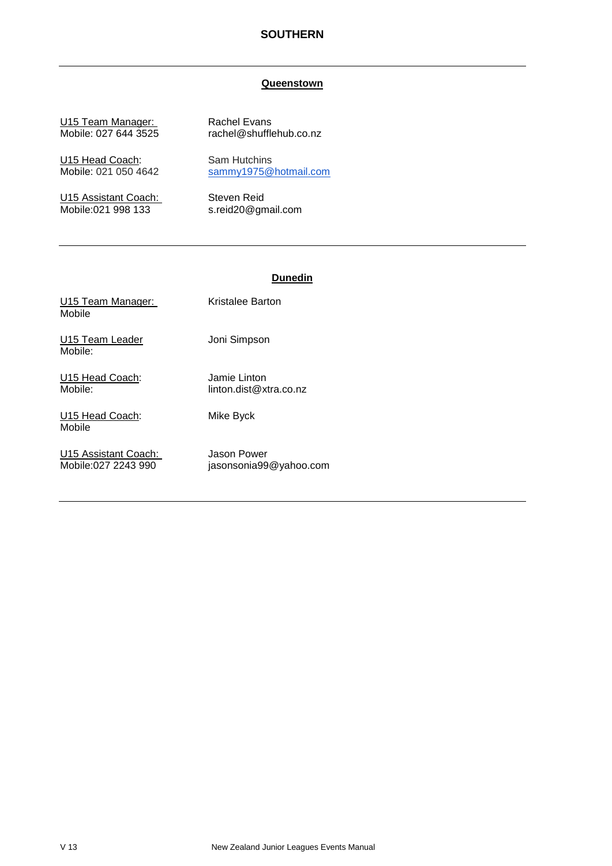#### **SOUTHERN**

#### **Queenstown**

U15 Team Manager: Rachel Evans<br>Mobile: 027 644 3525 rachel@shuffle

U15 Head Coach: Sam Hutchins<br>
Mobile: 021 050 4642 sammy1975@

U15 Assistant Coach: Steven Reid<br>
Mobile:021 998 133 s.reid20@gm

rachel@shufflehub.co.nz

[sammy1975@hotmail.com](mailto:sammy1975@hotmail.com)

s.reid20@gmail.com

#### **Dunedin**

| U15 Team Manager:<br>Mobile                 | Kristalee Barton                       |
|---------------------------------------------|----------------------------------------|
| U15 Team Leader<br>Mobile:                  | Joni Simpson                           |
| U15 Head Coach:<br>Mobile:                  | Jamie Linton<br>linton.dist@xtra.co.nz |
| U15 Head Coach:<br>Mobile                   | Mike Byck                              |
| U15 Assistant Coach:<br>Mobile:027 2243 990 | Jason Power<br>jasonsonia99@yahoo.com  |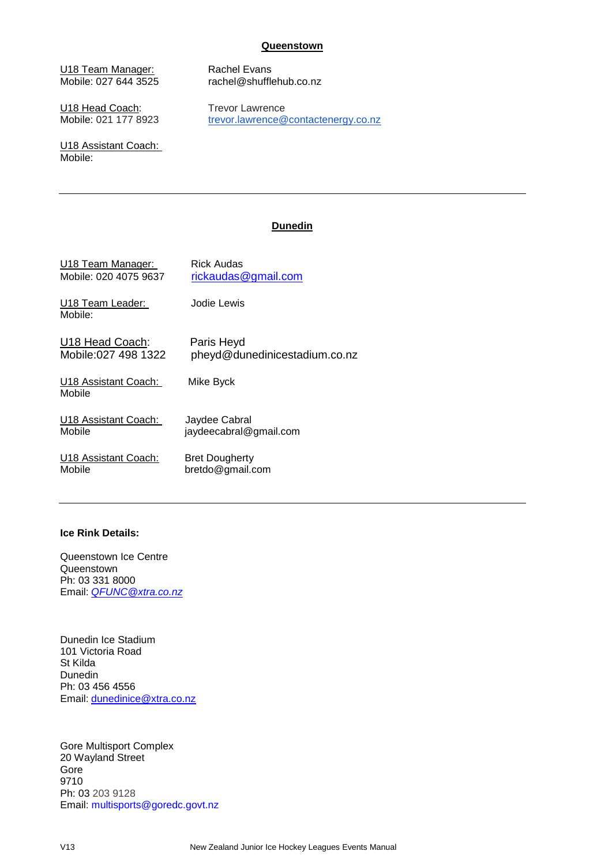#### **Queenstown**

U18 Team Manager: Rachel Evans<br>
Mobile: 027 644 3525 rachel@shuffle

U18 Head Coach: Trevor Lawrence<br>
Mobile: 021 177 8923 trevor.lawrence

U18 Assistant Coach: Mobile:

rachel@shufflehub.co.nz

[trevor.lawrence@contactenergy.co.nz](mailto:trevor.lawrence@contactenergy.co.nz)

#### **Dunedin**

| U18 Team Manager:              | Rick Audas                    |
|--------------------------------|-------------------------------|
| Mobile: 020 4075 9637          | rickaudas@gmail.com           |
| U18 Team Leader:<br>Mobile:    | Jodie Lewis                   |
| U18 Head Coach:                | Paris Heyd                    |
| Mobile: 027 498 1322           | pheyd@dunedinicestadium.co.nz |
| U18 Assistant Coach:<br>Mobile | Mike Byck                     |
| U18 Assistant Coach:           | Jaydee Cabral                 |
| Mobile                         | jaydeecabral@gmail.com        |
| U18 Assistant Coach:           | <b>Bret Dougherty</b>         |
| Mobile                         | bretdo@gmail.com              |

#### **Ice Rink Details:**

Queenstown Ice Centre **Queenstown** Ph: 03 331 8000 Email: *[QFUNC@xtra.co.nz](mailto:QFUNC@xtra.co.nz)*

Dunedin Ice Stadium 101 Victoria Road St Kilda Dunedin Ph: 03 456 4556 Email: [dunedinice@xtra.co.nz](mailto:dunedinice@xtra.co.nz)

Gore Multisport Complex 20 Wayland Street Gore 9710 Ph: 03 203 9128 Email: [multisports@goredc.govt.nz](mailto:multisports@goredc.govt.nz)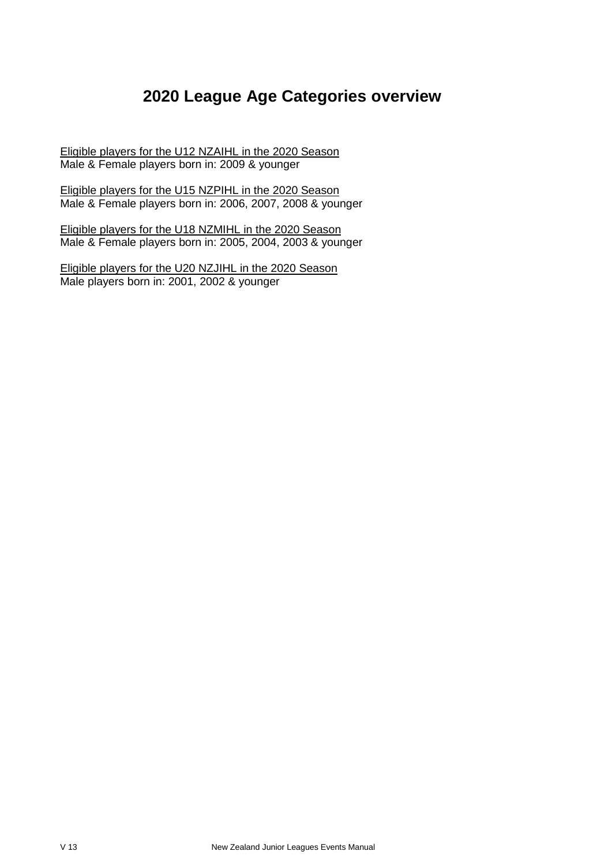# **2020 League Age Categories overview**

Eligible players for the U12 NZAIHL in the 2020 Season Male & Female players born in: 2009 & younger

Eligible players for the U15 NZPIHL in the 2020 Season Male & Female players born in: 2006, 2007, 2008 & younger

Eligible players for the U18 NZMIHL in the 2020 Season Male & Female players born in: 2005, 2004, 2003 & younger

Eligible players for the U20 NZJIHL in the 2020 Season Male players born in: 2001, 2002 & younger